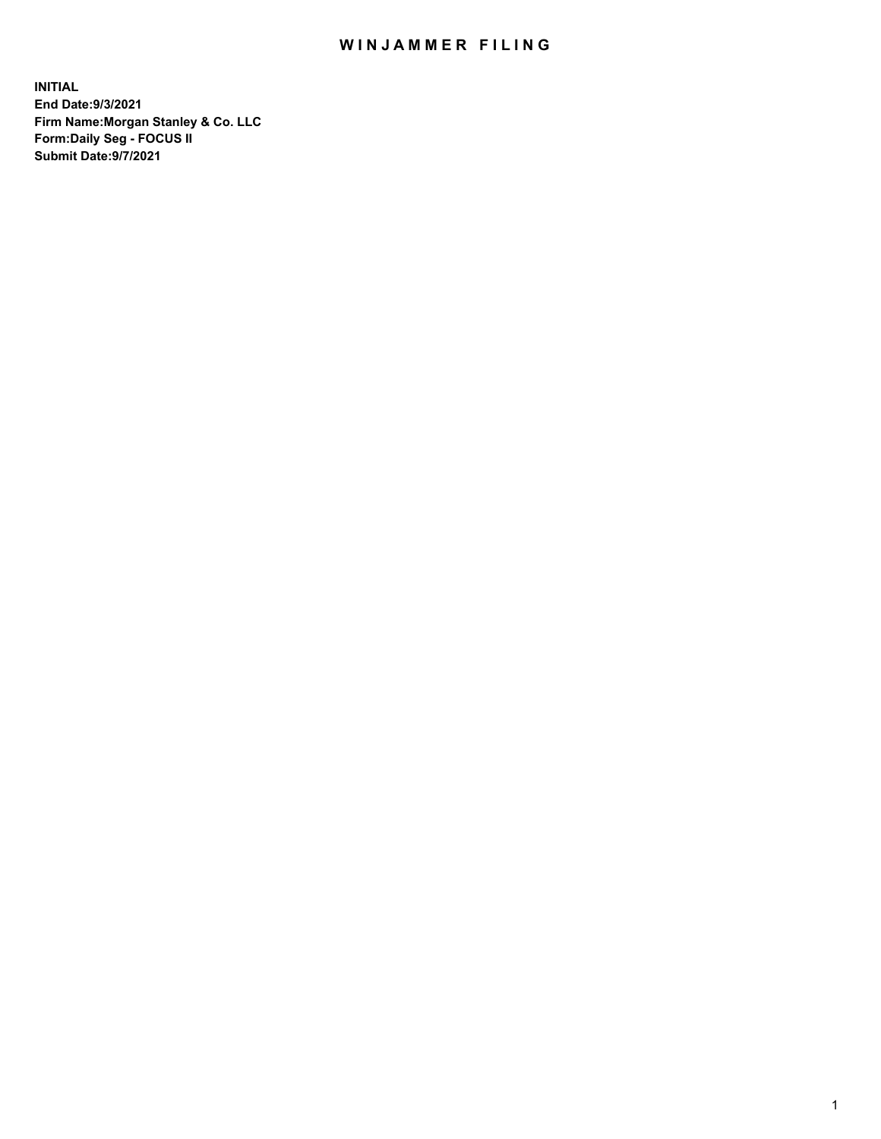## WIN JAMMER FILING

**INITIAL End Date:9/3/2021 Firm Name:Morgan Stanley & Co. LLC Form:Daily Seg - FOCUS II Submit Date:9/7/2021**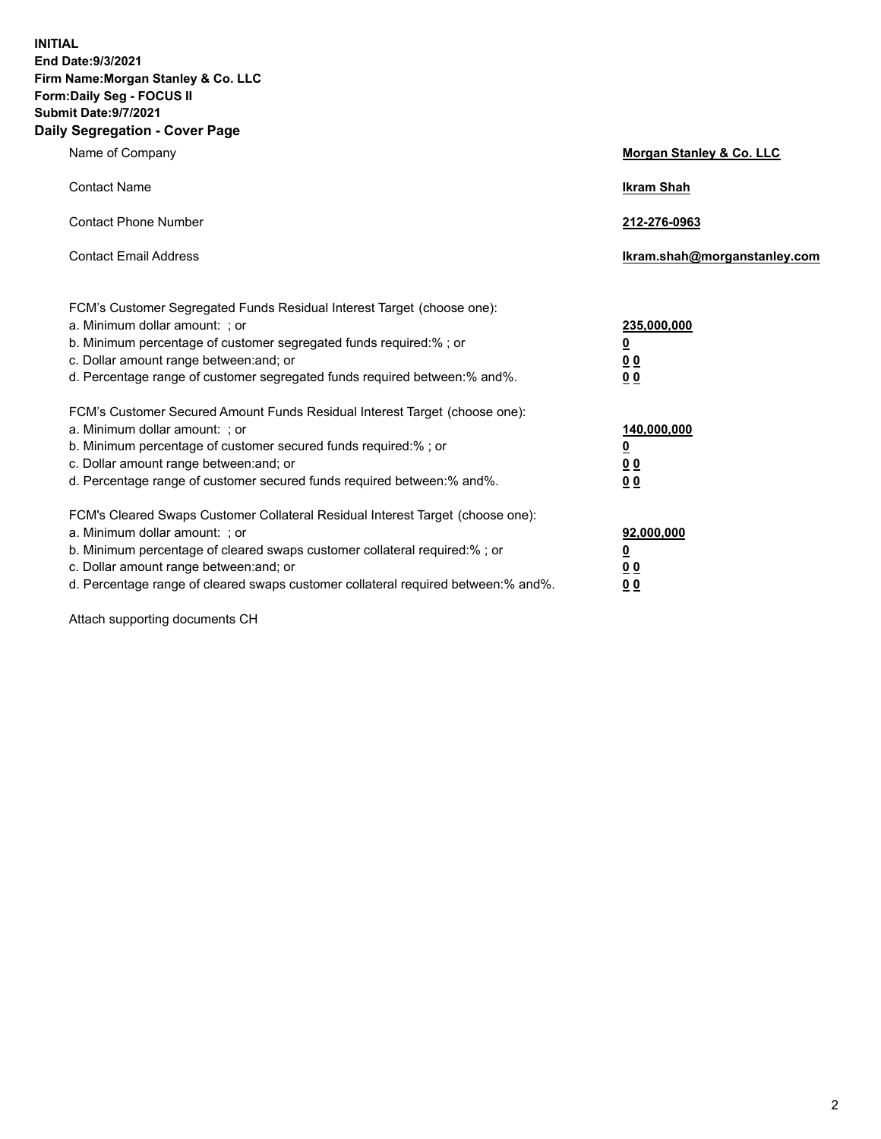**INITIAL End Date:9/3/2021 Firm Name:Morgan Stanley & Co. LLC Form:Daily Seg - FOCUS II Submit Date:9/7/2021 Daily Segregation - Cover Page**

| Name of Company                                                                                                                                                                                                                                                                                                                | Morgan Stanley & Co. LLC                                |
|--------------------------------------------------------------------------------------------------------------------------------------------------------------------------------------------------------------------------------------------------------------------------------------------------------------------------------|---------------------------------------------------------|
| <b>Contact Name</b>                                                                                                                                                                                                                                                                                                            | <b>Ikram Shah</b>                                       |
| <b>Contact Phone Number</b>                                                                                                                                                                                                                                                                                                    | 212-276-0963                                            |
| <b>Contact Email Address</b>                                                                                                                                                                                                                                                                                                   | Ikram.shah@morganstanley.com                            |
| FCM's Customer Segregated Funds Residual Interest Target (choose one):<br>a. Minimum dollar amount: ; or<br>b. Minimum percentage of customer segregated funds required:% ; or<br>c. Dollar amount range between: and; or<br>d. Percentage range of customer segregated funds required between: % and %.                       | 235,000,000<br><u>0</u><br><u>00</u><br><u>00</u>       |
| FCM's Customer Secured Amount Funds Residual Interest Target (choose one):<br>a. Minimum dollar amount: ; or<br>b. Minimum percentage of customer secured funds required:% ; or<br>c. Dollar amount range between: and; or<br>d. Percentage range of customer secured funds required between:% and%.                           | 140,000,000<br><u>0</u><br><u>0 0</u><br>0 <sub>0</sub> |
| FCM's Cleared Swaps Customer Collateral Residual Interest Target (choose one):<br>a. Minimum dollar amount: ; or<br>b. Minimum percentage of cleared swaps customer collateral required:% ; or<br>c. Dollar amount range between: and; or<br>d. Percentage range of cleared swaps customer collateral required between:% and%. | 92,000,000<br><u>0</u><br><u>00</u><br>00               |

Attach supporting documents CH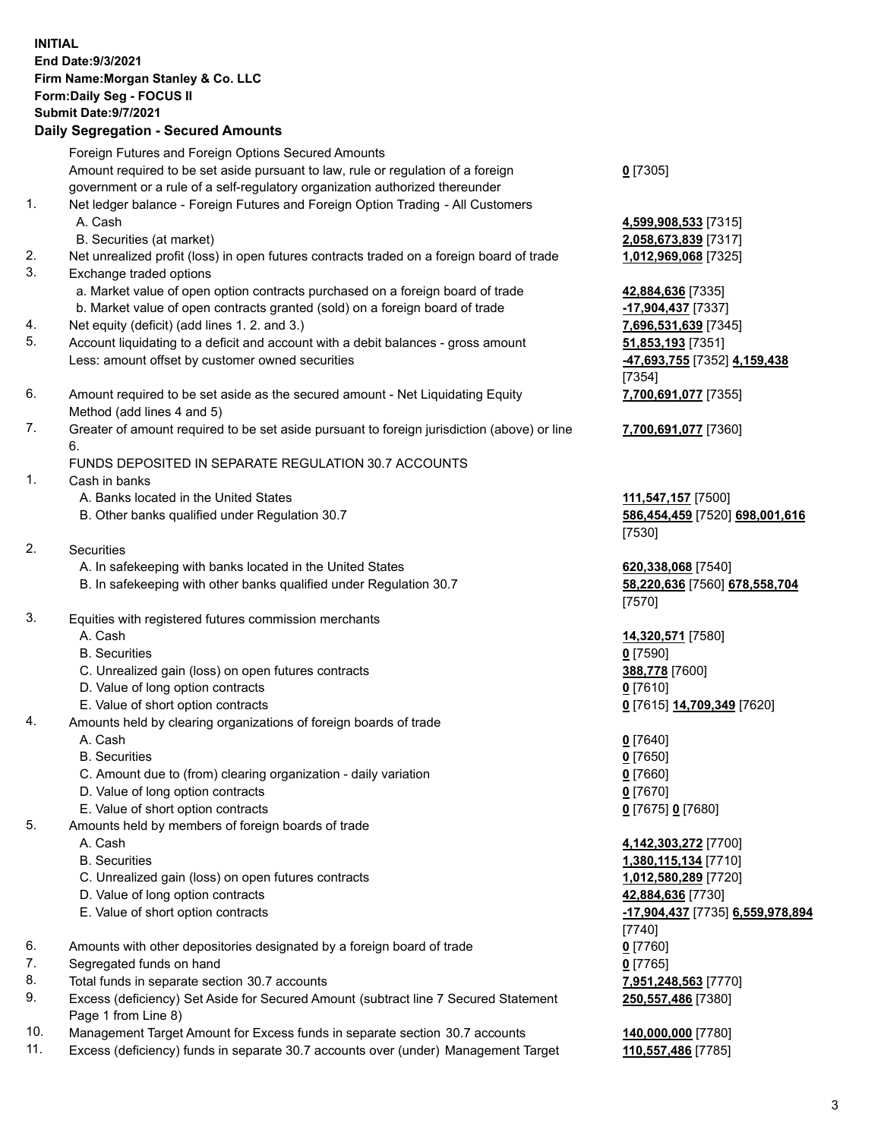|    | <b>INITIAL</b><br>End Date: 9/3/2021<br>Firm Name: Morgan Stanley & Co. LLC<br>Form: Daily Seg - FOCUS II<br><b>Submit Date: 9/7/2021</b><br><b>Daily Segregation - Secured Amounts</b>                                                                                                                    |                                              |
|----|------------------------------------------------------------------------------------------------------------------------------------------------------------------------------------------------------------------------------------------------------------------------------------------------------------|----------------------------------------------|
|    |                                                                                                                                                                                                                                                                                                            |                                              |
| 1. | Foreign Futures and Foreign Options Secured Amounts<br>Amount required to be set aside pursuant to law, rule or regulation of a foreign<br>government or a rule of a self-regulatory organization authorized thereunder<br>Net ledger balance - Foreign Futures and Foreign Option Trading - All Customers | $0$ [7305]                                   |
|    | A. Cash<br>B. Securities (at market)                                                                                                                                                                                                                                                                       | 4,599,908,533 [7315]<br>2,058,673,839 [7317] |
| 2. | Net unrealized profit (loss) in open futures contracts traded on a foreign board of trade                                                                                                                                                                                                                  | 1,012,969,068 [7325]                         |
| 3. | Exchange traded options                                                                                                                                                                                                                                                                                    |                                              |
|    | a. Market value of open option contracts purchased on a foreign board of trade                                                                                                                                                                                                                             | 42,884,636 [7335]                            |
|    | b. Market value of open contracts granted (sold) on a foreign board of trade                                                                                                                                                                                                                               | -17,904,437 [7337]                           |
| 4. | Net equity (deficit) (add lines 1.2. and 3.)                                                                                                                                                                                                                                                               | 7,696,531,639 [7345]                         |
| 5. | Account liquidating to a deficit and account with a debit balances - gross amount                                                                                                                                                                                                                          | 51,853,193 [7351]                            |
|    | Less: amount offset by customer owned securities                                                                                                                                                                                                                                                           | -47,693,755 [7352] 4,159,438<br>[7354]       |
| 6. | Amount required to be set aside as the secured amount - Net Liquidating Equity<br>Method (add lines 4 and 5)                                                                                                                                                                                               | 7,700,691,077 [7355]                         |
| 7. | Greater of amount required to be set aside pursuant to foreign jurisdiction (above) or line                                                                                                                                                                                                                | 7,700,691,077 [7360]                         |
|    | 6.                                                                                                                                                                                                                                                                                                         |                                              |
|    | FUNDS DEPOSITED IN SEPARATE REGULATION 30.7 ACCOUNTS                                                                                                                                                                                                                                                       |                                              |
| 1. | Cash in banks                                                                                                                                                                                                                                                                                              |                                              |
|    | A. Banks located in the United States                                                                                                                                                                                                                                                                      | 111,547,157 [7500]                           |
|    | B. Other banks qualified under Regulation 30.7                                                                                                                                                                                                                                                             | 586,454,459 [7520] 698,001,616<br>[7530]     |
| 2. | <b>Securities</b>                                                                                                                                                                                                                                                                                          |                                              |
|    | A. In safekeeping with banks located in the United States                                                                                                                                                                                                                                                  | 620,338,068 [7540]                           |
|    | B. In safekeeping with other banks qualified under Regulation 30.7                                                                                                                                                                                                                                         | 58,220,636 [7560] 678,558,704<br>[7570]      |
| 3. | Equities with registered futures commission merchants                                                                                                                                                                                                                                                      |                                              |
|    | A. Cash                                                                                                                                                                                                                                                                                                    | 14,320,571 [7580]                            |
|    | <b>B.</b> Securities                                                                                                                                                                                                                                                                                       | $0$ [7590]                                   |
|    | C. Unrealized gain (loss) on open futures contracts                                                                                                                                                                                                                                                        | 388,778 [7600]                               |
|    | D. Value of long option contracts                                                                                                                                                                                                                                                                          | $0$ [7610]                                   |
|    | E. Value of short option contracts                                                                                                                                                                                                                                                                         | 0 [7615] 14,709,349 [7620]                   |
| 4. | Amounts held by clearing organizations of foreign boards of trade                                                                                                                                                                                                                                          |                                              |
|    | A. Cash                                                                                                                                                                                                                                                                                                    | $0$ [7640]                                   |
|    | <b>B.</b> Securities                                                                                                                                                                                                                                                                                       | $0$ [7650]                                   |
|    | C. Amount due to (from) clearing organization - daily variation                                                                                                                                                                                                                                            | $0$ [7660]                                   |
|    | D. Value of long option contracts                                                                                                                                                                                                                                                                          | $0$ [7670]                                   |
|    | E. Value of short option contracts                                                                                                                                                                                                                                                                         | 0 [7675] 0 [7680]                            |
| 5. | Amounts held by members of foreign boards of trade                                                                                                                                                                                                                                                         |                                              |
|    | A. Cash                                                                                                                                                                                                                                                                                                    | 4,142,303,272 [7700]                         |
|    | <b>B.</b> Securities                                                                                                                                                                                                                                                                                       | 1,380,115,134 [7710]                         |
|    | C. Unrealized gain (loss) on open futures contracts<br>D. Value of long option contracts                                                                                                                                                                                                                   | 1,012,580,289 [7720]<br>42,884,636 [7730]    |
|    |                                                                                                                                                                                                                                                                                                            |                                              |
|    | E. Value of short option contracts                                                                                                                                                                                                                                                                         | -17,904,437 [7735] 6,559,978,894             |
| 6. | Amounts with other depositories designated by a foreign board of trade                                                                                                                                                                                                                                     | $[7740]$<br>$0$ [7760]                       |
| 7. | Segregated funds on hand                                                                                                                                                                                                                                                                                   | $0$ [7765]                                   |
| 8. | Total funds in separate section 30.7 accounts                                                                                                                                                                                                                                                              | 7,951,248,563 [7770]                         |
| 9. | Excess (deficiency) Set Aside for Secured Amount (subtract line 7 Secured Statement                                                                                                                                                                                                                        | 250,557,486 [7380]                           |
|    | Page 1 from Line 8)                                                                                                                                                                                                                                                                                        |                                              |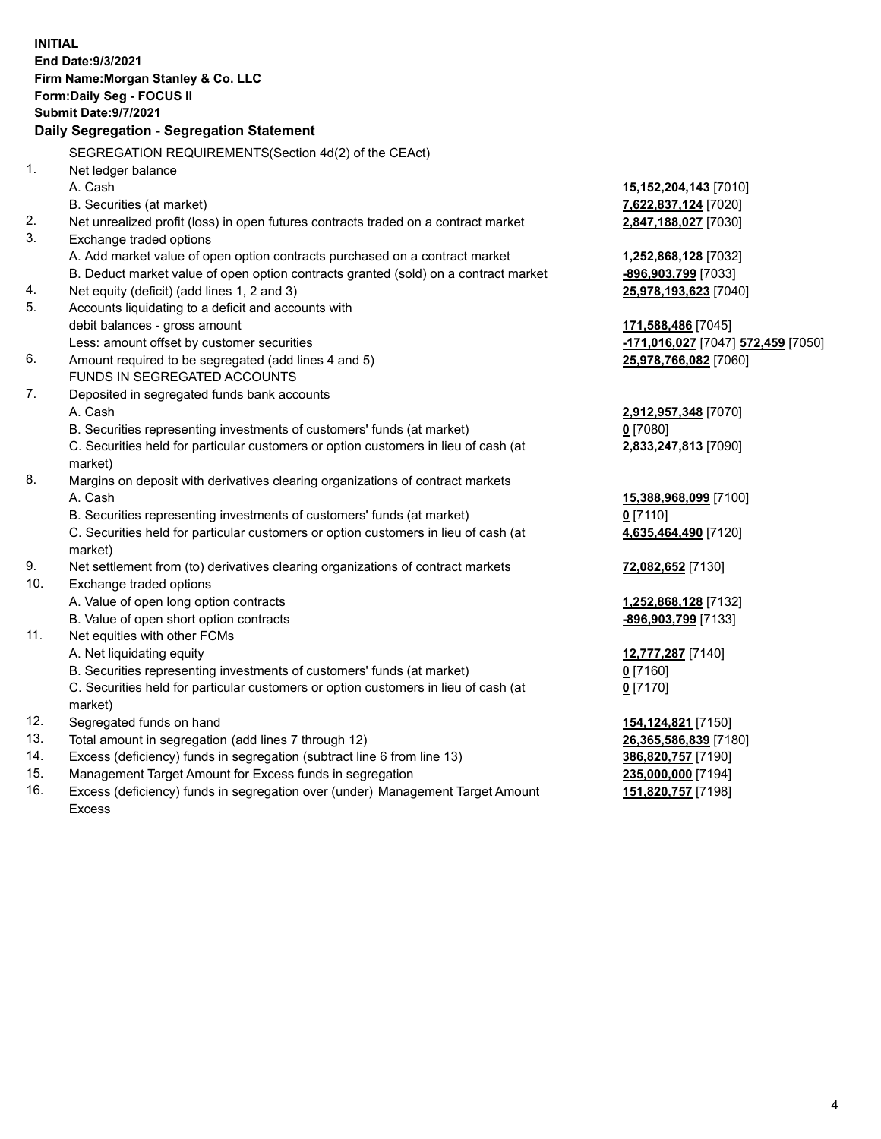|     | <b>INITIAL</b><br>End Date: 9/3/2021<br>Firm Name: Morgan Stanley & Co. LLC<br>Form: Daily Seg - FOCUS II                          |                                                              |
|-----|------------------------------------------------------------------------------------------------------------------------------------|--------------------------------------------------------------|
|     | <b>Submit Date: 9/7/2021</b>                                                                                                       |                                                              |
|     | Daily Segregation - Segregation Statement                                                                                          |                                                              |
|     |                                                                                                                                    |                                                              |
|     | SEGREGATION REQUIREMENTS(Section 4d(2) of the CEAct)                                                                               |                                                              |
| 1.  | Net ledger balance                                                                                                                 |                                                              |
|     | A. Cash                                                                                                                            | 15,152,204,143 [7010]                                        |
| 2.  | B. Securities (at market)                                                                                                          | 7,622,837,124 [7020]                                         |
| 3.  | Net unrealized profit (loss) in open futures contracts traded on a contract market<br>Exchange traded options                      | 2,847,188,027 [7030]                                         |
|     |                                                                                                                                    |                                                              |
|     | A. Add market value of open option contracts purchased on a contract market                                                        | 1,252,868,128 [7032]                                         |
| 4.  | B. Deduct market value of open option contracts granted (sold) on a contract market<br>Net equity (deficit) (add lines 1, 2 and 3) | -896,903,799 [7033]                                          |
| 5.  | Accounts liquidating to a deficit and accounts with                                                                                | 25,978,193,623 [7040]                                        |
|     | debit balances - gross amount                                                                                                      | 171,588,486 [7045]                                           |
|     | Less: amount offset by customer securities                                                                                         | <mark>-171,016,027</mark> [7047] <mark>572,459</mark> [7050] |
| 6.  | Amount required to be segregated (add lines 4 and 5)                                                                               | 25,978,766,082 [7060]                                        |
|     | FUNDS IN SEGREGATED ACCOUNTS                                                                                                       |                                                              |
| 7.  | Deposited in segregated funds bank accounts                                                                                        |                                                              |
|     | A. Cash                                                                                                                            | 2,912,957,348 [7070]                                         |
|     | B. Securities representing investments of customers' funds (at market)                                                             | $0$ [7080]                                                   |
|     | C. Securities held for particular customers or option customers in lieu of cash (at                                                | 2,833,247,813 [7090]                                         |
|     | market)                                                                                                                            |                                                              |
| 8.  | Margins on deposit with derivatives clearing organizations of contract markets                                                     |                                                              |
|     | A. Cash                                                                                                                            | 15,388,968,099 [7100]                                        |
|     | B. Securities representing investments of customers' funds (at market)                                                             | $0$ [7110]                                                   |
|     | C. Securities held for particular customers or option customers in lieu of cash (at                                                | 4,635,464,490 [7120]                                         |
|     | market)                                                                                                                            |                                                              |
| 9.  | Net settlement from (to) derivatives clearing organizations of contract markets                                                    | 72,082,652 [7130]                                            |
| 10. | Exchange traded options                                                                                                            |                                                              |
|     | A. Value of open long option contracts                                                                                             | 1,252,868,128 [7132]                                         |
|     | B. Value of open short option contracts                                                                                            | -896,903,799 [7133]                                          |
| 11. | Net equities with other FCMs                                                                                                       |                                                              |
|     | A. Net liquidating equity                                                                                                          | 12,777,287 [7140]                                            |
|     | B. Securities representing investments of customers' funds (at market)                                                             | $0$ [7160]                                                   |
|     | C. Securities held for particular customers or option customers in lieu of cash (at                                                | $0$ [7170]                                                   |
|     | market)                                                                                                                            |                                                              |
| 12. | Segregated funds on hand                                                                                                           | 154,124,821 [7150]                                           |
| 13. | Total amount in segregation (add lines 7 through 12)                                                                               | 26,365,586,839 [7180]                                        |
| 14. | Excess (deficiency) funds in segregation (subtract line 6 from line 13)                                                            | 386,820,757 [7190]                                           |
| 15. | Management Target Amount for Excess funds in segregation                                                                           | 235,000,000 [7194]                                           |
| 16. | Excess (deficiency) funds in segregation over (under) Management Target Amount                                                     | 151,820,757 [7198]                                           |

16. Excess (deficiency) funds in segregation over (under) Management Target Amount Excess